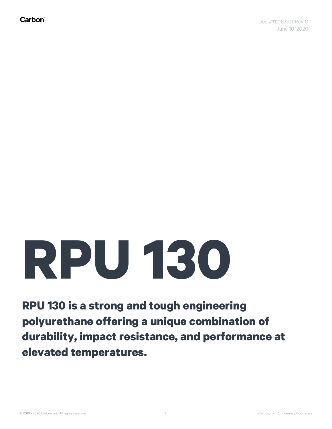## **RPU 130**

**RPU 130 is a strong and tough engineering polyurethane offering a unique combination of durability, impact resistance, and performance at elevated temperatures.**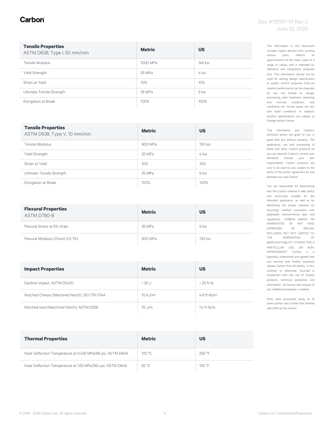#### Carbon

| <b>Tensile Properties</b><br>ASTM D638, Type I, 50 mm/min | <b>Metric</b> | <b>US</b> |
|-----------------------------------------------------------|---------------|-----------|
| Tensile Modulus                                           | 1000 MPa      | 145 ksi   |
| Yield Strength                                            | 25 MPa        | 4 ksi     |
| Strain at Yield                                           | 10%           | 10%       |
| Ultimate Tensile Strength                                 | 35 MPa        | 5 ksi     |
| Elongation at Break                                       | 100%          | 100%      |

| <b>Tensile Properties</b><br>ASTM D638, Type V, 10 mm/min | <b>Metric</b> | <b>US</b> |
|-----------------------------------------------------------|---------------|-----------|
| Tensile Modulus                                           | 900 MPa       | 130 ksi   |
| Yield Strength                                            | 25 MPa        | 4 ksi     |
| Strain at Yield                                           | 10%           | 10%       |
| Ultimate Tensile Strength                                 | 35 MPa        | 5 ksi     |
| Elongation at Break                                       | 100%          | 100%      |

| <b>Flexural Properties</b><br>ASTM D790-B | <b>Metric</b> | <b>US</b> |
|-------------------------------------------|---------------|-----------|
| Flexural Stress at 5% strain              | 35 MPa        | 5 ksi     |
| Flexural Modulus (Chord, 0.5-1%)          | 900 MPa       | 130 ksi   |

| <b>Impact Properties</b>                       | <b>Metric</b>       | <b>US</b>                               |
|------------------------------------------------|---------------------|-----------------------------------------|
| Gardner Impact, ASTM D5420                     | $> 30 \text{ J}$    | $>$ 22 ft-lb                            |
| Notched Charpy (Machined Notch), ISO 179-1/1eA | $10 \text{ kJ/m}^2$ | 4.8 ft- $\frac{1}{2}$ h/in <sup>2</sup> |
| Notched Izod (Machined Notch), ASTM D256       | 75 J/m              | $1.4$ ft- $lb/in$                       |

| <b>Thermal Properties</b>                                  | <b>Metric</b> | <b>US</b> |
|------------------------------------------------------------|---------------|-----------|
| Heat Deflection Temperature at 0.455 MPa/66 psi, ASTM D648 | 120 °C        | 250 °F    |
| Heat Deflection Temperature at 1.82 MPa/264 psi, ASTM D648 | 55 °C         | 130 °F    |

The information in this document includes values derived from printing various parts, reflects an approximation of the mean value of a range of values, and is intended for reference and comparison purposes only. This information should not be used for testing, design specification or quality control purposes. End-use material performance can be impacted by, but not limited to, design, processing, color treatment, operating and end-use conditions, test conditions, etc. Actual values will vary with build conditions. In addition, product specifications are subject to change without notice.

This information and Carbon's technical advice are given to you in good faith but without warranty. The application, use and processing of these and other Carbon products by you are beyond Carbon's control and, therefore, entirely your own responsibility. Carbon products are only to be used by you, subject to the terms of the written agreement by and between you and Carbon.

You are responsible for determining that the Carbon material is safe, lawful, and technically suitable for the intended application, as well as for identifying the proper disposal (or recycling) method consistent with applicable environmental laws and regulations. CARBON MAKES NO WARRANTIES OF ANY KIND, EXPRESSED OR IMPLIED, INCLUDING, BUT NOT LIMITED TO, THE WARRANTIES OF MERCHANTABILITY, FITNESS FOR A PARTICULAR USE, OR NON-INFRINGEMENT. Further, it is expressly understood and agreed that you assume and hereby expressly release Carbon from all liability, in tort, contract or otherwise, incurred in connection with the use of Carbon products, technical assistance and information. No license with respect to any intellectual property is implied.

Parts were processed using an M series printer and a Smart Part Washer with DPM as the solvent.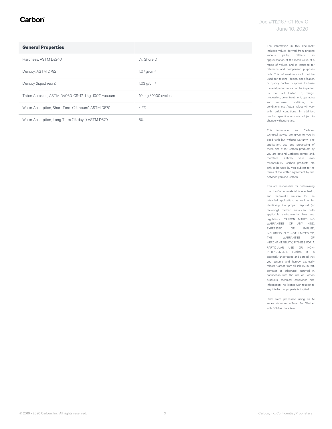#### Carbon

| <b>General Properties</b>                            |                          |
|------------------------------------------------------|--------------------------|
| Hardness, ASTM D2240                                 | 77. Shore D              |
| Density, ASTM D792                                   | 1.07 g/cm <sup>3</sup>   |
| Density (liquid resin)                               | $1.03$ g/cm <sup>3</sup> |
| Taber Abrasion, ASTM D4060, CS-17, 1 kg, 100% vacuum | 10 mg / 1000 cycles      |
| Water Absorption, Short Term (24 hours) ASTM D570    | < 2%                     |
| Water Absorption, Long Term (14 days) ASTM D570      | 5%                       |

The information in this document includes values derived from printing various parts, reflects an approximation of the mean value of a range of values, and is intended for reference and comparison purposes only. This information should not be used for testing, design specification or quality control purposes. End-use material performance can be impacted by, but not limited to, design, processing, color treatment, operating and end-use conditions, test conditions, etc. Actual values will vary with build conditions. In addition, product specifications are subject to change without notice.

This information and Carbon's technical advice are given to you in good faith but without warranty. The application, use and processing of these and other Carbon products by you are beyond Carbon's control and, therefore, entirely your own responsibility. Carbon products are only to be used by you, subject to the terms of the written agreement by and between you and Carbon.

You are responsible for determining that the Carbon material is safe, lawful, and technically suitable for the intended application, as well as for identifying the proper disposal (or recycling) method consistent with applicable environmental laws and regulations. CARBON MAKES NO WARRANTIES OF ANY KIND, EXPRESSED OR IMPLIED, INCLUDING, BUT NOT LIMITED TO, THE WARRANTIES OF MERCHANTABILITY, FITNESS FOR A PARTICULAR USE, OR NON-INFRINGEMENT. Further, it is expressly understood and agreed that you assume and hereby expressly release Carbon from all liability, in tort, contract or otherwise, incurred in connection with the use of Carbon products, technical assistance and information. No license with respect to any intellectual property is implied.

Parts were processed using an M series printer and a Smart Part Washer with DPM as the solvent.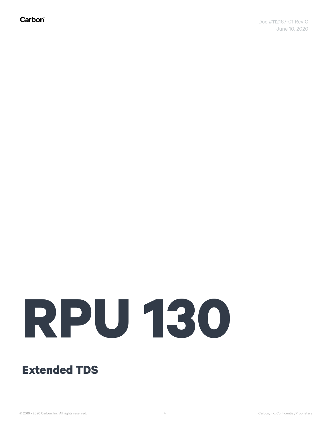Carbon®

# **RPU 130**

**Extended TDS**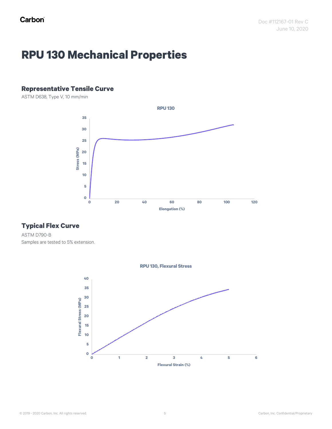## **RPU 130 Mechanical Properties**

#### **Representative Tensile Curve**

ASTM D638, Type V, 10 mm/min



#### **Typical Flex Curve**

ASTM D790-B Samples are tested to 5% extension.



© 2019 - 2020 Carbon, Inc. All rights reserved. Carbon, Inc. Confidential/Proprietary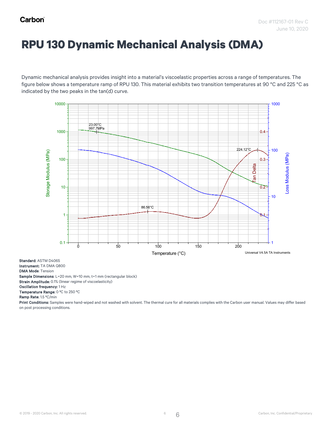### **RPU 130 Dynamic Mechanical Analysis (DMA)**

Dynamic mechanical analysis provides insight into a material's viscoelastic properties across a range of temperatures. The figure below shows a temperature ramp of RPU 130. This material exhibits two transition temperatures at 90 °C and 225 °C as<br>Disktophedia the the conclusioning file and the conclusions of the material exhibits two transitio indicated by the two peaks in the tan(d) curve. the two peaks in the t



Standard: ASTM D4065 Instrument: TA DMA Q800 DMA Mode: Tension Sample Dimensions: L=20 mm, W=10 mm, t=1 mm (rectangular block) Strain Amplitude: 0.1% (linear regime of viscoelasticity) Oscillation frequency: 1 Hz

Temperature Range: 0 ºC to 250 ºC

Ramp Rate: 1.5 ºC/min

Print Conditions: Samples were hand-wiped and not washed with solvent. The thermal cure for all materials complies with the Carbon user manual. Values may differ based on post processing conditions.

6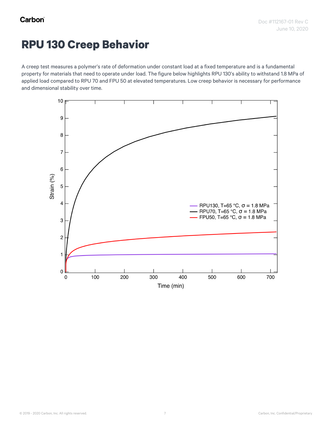#### **RPU 130 Creep Behavior**

A creep test measures a polymer's rate of deformation under constant load at a fixed temperature and is a fundamental property for materials that need to operate under load. The figure below highlights RPU 130's ability to withstand 1.8 MPa of applied load compared to RPU 70 and FPU 50 at elevated temperatures. Low creep behavior is necessary for performance and dimensional stability over time.

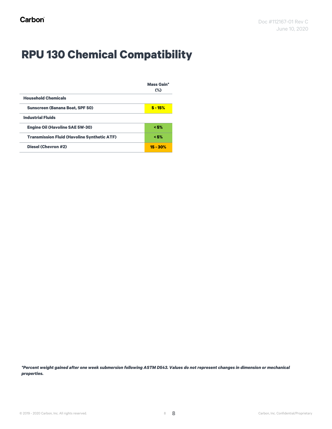## **RPU 130 Chemical Compatibility**

|                                                    | <b>Mass Gain*</b> |
|----------------------------------------------------|-------------------|
|                                                    | $(\%)$            |
| <b>Household Chemicals</b>                         |                   |
| <b>Sunscreen (Banana Boat, SPF 50)</b>             | $5 - 15%$         |
| <b>Industrial Fluids</b>                           |                   |
| <b>Engine Oil (Havoline SAE 5W-30)</b>             | < 5%              |
| <b>Transmission Fluid (Havoline Synthetic ATF)</b> | < 5%              |
| <b>Diesel (Chevron #2)</b>                         | $15 - 30%$        |

*\*Percent weight gained after one week submersion following ASTM D543. Values do not represent changes in dimension or mechanical properties.*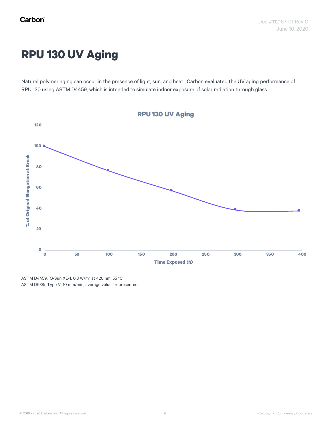## **RPU 130 UV Aging**

Natural polymer aging can occur in the presence of light, sun, and heat. Carbon evaluated the UV aging performance of RPU 130 using ASTM D4459, which is intended to simulate indoor exposure of solar radiation through glass.



ASTM D4459: Q-Sun XE-1, 0.8 W/m<sup>2</sup> at 420 nm, 55 °C ASTM D638: Type V, 10 mm/min, average values represented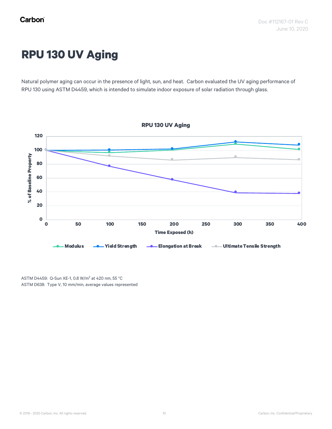## **RPU 130 UV Aging**

Natural polymer aging can occur in the presence of light, sun, and heat. Carbon evaluated the UV aging performance of RPU 130 using ASTM D4459, which is intended to simulate indoor exposure of solar radiation through glass.



ASTM D4459: Q-Sun XE-1, 0.8 W/m<sup>2</sup> at 420 nm, 55 °C ASTM D638: Type V, 10 mm/min, average values represented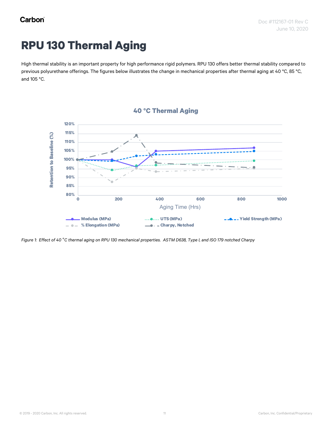## **RPU 130 Thermal Aging**

High thermal stability is an important property for high performance rigid polymers. RPU 130 offers better thermal stability compared to previous polyurethane offerings. The figures below illustrates the change in mechanical properties after thermal aging at 40 °C, 85 °C, and 105 °C.





*Figure 1: Effect of 40* °*C thermal aging on RPU 130 mechanical properties. ASTM D638, Type I, and ISO 179 notched Charpy*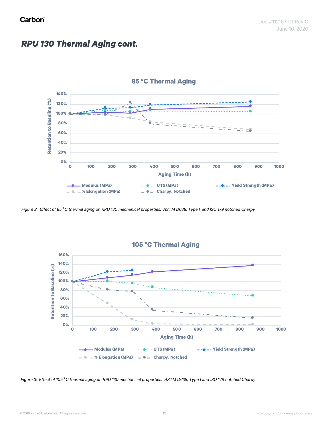#### *RPU 130 Thermal Aging cont.*



*Figure 2: Effect of 85* °*C thermal aging on RPU 130 mechanical properties. ASTM D638, Type I, and ISO 179 notched Charpy*



*Figure 3: Effect of 105* °*C thermal aging on RPU 130 mechanical properties. ASTM D638, Type I and ISO 179 notched Charpy*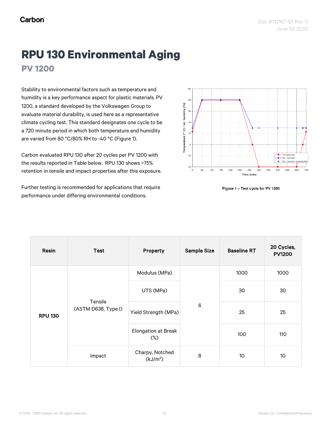### **RPU 130 Environmental Aging PV 1200**

Stability to environmental factors such as temperature and humidity is a key performance aspect for plastic materials. PV 1200, a standard developed by the Volkswagen Group to evaluate material durability, is used here as a representative climate cycling test. This standard designates one cycle to be a 720 minute period in which both temperature and humidity are varied from 80 °C/80% RH to -40 °C (Figure 1).

Carbon evaluated RPU 130 after 20 cycles per PV 1200 with the results reported in Table below. RPU 130 shows >75% retention in tensile and impact properties after this exposure.

Further testing is recommended for applications that require performance under differing environmental conditions.



Figure 1 - Test cycle for PV 1200

| Resin          | <b>Test</b>                    | Property                                | <b>Sample Size</b> | <b>Baseline RT</b> | 20 Cycles,<br><b>PV1200</b> |
|----------------|--------------------------------|-----------------------------------------|--------------------|--------------------|-----------------------------|
| <b>RPU 130</b> | Tensile<br>(ASTM D638, Type I) | Modulus (MPa)                           | $\,6$              | 1000               | 1000                        |
|                |                                | UTS (MPa)                               |                    | 30                 | 30                          |
|                |                                | Yield Strength (MPa)                    |                    | 25                 | 25                          |
|                |                                | <b>Elongation at Break</b><br>$(\%)$    |                    | 100                | 110                         |
|                | Impact                         | Charpy, Notched<br>(kJ/m <sup>2</sup> ) | 8                  | 10                 | 10 <sup>°</sup>             |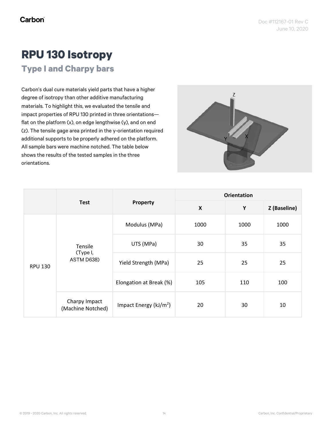## **RPU 130 Isotropy**

**Type I and Charpy bars**

Carbon's dual cure materials yield parts that have a higher degree of isotropy than other additive manufacturing materials. To highlight this, we evaluated the tensile and impact properties of RPU 130 printed in three orientations flat on the platform (x), on edge lengthwise (y), and on end (z). The tensile gage area printed in the y-orientation required additional supports to be properly adhered on the platform. All sample bars were machine notched. The table below shows the results of the tested samples in the three orientations.



|                |                                    | Property                  | <b>Orientation</b>        |      |              |
|----------------|------------------------------------|---------------------------|---------------------------|------|--------------|
|                | <b>Test</b>                        |                           | $\boldsymbol{\mathsf{X}}$ | Y    | Z (Baseline) |
| <b>RPU 130</b> | Tensile<br>(Type I,<br>ASTM D638)  | Modulus (MPa)             | 1000                      | 1000 | 1000         |
|                |                                    | UTS (MPa)                 | 30                        | 35   | 35           |
|                |                                    | Yield Strength (MPa)      | 25                        | 25   | 25           |
|                |                                    | Elongation at Break (%)   | 105                       | 110  | 100          |
|                | Charpy Impact<br>(Machine Notched) | Impact Energy ( $kJ/m2$ ) | 20                        | 30   | 10           |